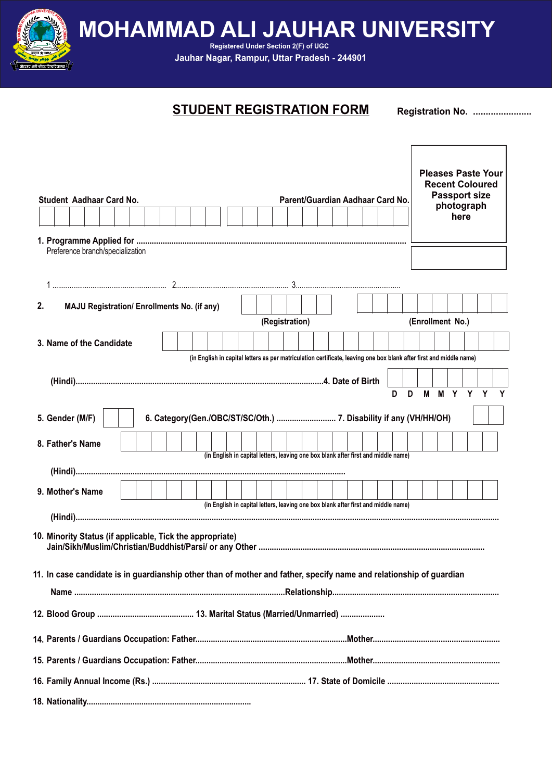**MOHAMMAD ALI JAUHAR UNIVERSITY** 

**Registered Under Section 2(F) of UGC Jauhar Nagar, Rampur, Uttar Pradesh - 244901**

### **STUDENT REGISTRATION FORM Registration No. ......................**

| Student Aadhaar Card No.                                                                                            |                                                                   |  |  |  |                |  | Parent/Guardian Aadhaar Card No.                                                                                    |  |  |   |   |                  | photograph<br>here | <b>Pleases Paste Your</b><br><b>Recent Coloured</b><br><b>Passport size</b> |              |
|---------------------------------------------------------------------------------------------------------------------|-------------------------------------------------------------------|--|--|--|----------------|--|---------------------------------------------------------------------------------------------------------------------|--|--|---|---|------------------|--------------------|-----------------------------------------------------------------------------|--------------|
|                                                                                                                     |                                                                   |  |  |  |                |  |                                                                                                                     |  |  |   |   |                  |                    |                                                                             |              |
| Preference branch/specialization                                                                                    |                                                                   |  |  |  |                |  |                                                                                                                     |  |  |   |   |                  |                    |                                                                             |              |
|                                                                                                                     |                                                                   |  |  |  |                |  |                                                                                                                     |  |  |   |   |                  |                    |                                                                             |              |
|                                                                                                                     |                                                                   |  |  |  |                |  |                                                                                                                     |  |  |   |   |                  |                    |                                                                             |              |
| 2.<br><b>MAJU Registration/ Enrollments No. (if any)</b>                                                            |                                                                   |  |  |  |                |  |                                                                                                                     |  |  |   |   |                  |                    |                                                                             |              |
|                                                                                                                     |                                                                   |  |  |  | (Registration) |  |                                                                                                                     |  |  |   |   | (Enrollment No.) |                    |                                                                             |              |
| 3. Name of the Candidate                                                                                            |                                                                   |  |  |  |                |  |                                                                                                                     |  |  |   |   |                  |                    |                                                                             |              |
|                                                                                                                     |                                                                   |  |  |  |                |  | (in English in capital letters as per matriculation certificate, leaving one box blank after first and middle name) |  |  |   |   |                  |                    |                                                                             |              |
|                                                                                                                     |                                                                   |  |  |  |                |  |                                                                                                                     |  |  |   |   |                  |                    |                                                                             |              |
|                                                                                                                     |                                                                   |  |  |  |                |  |                                                                                                                     |  |  | D | D |                  | M M Y Y            | Y                                                                           | $\mathbf{Y}$ |
| 5. Gender (M/F)                                                                                                     | 6. Category(Gen./OBC/ST/SC/Oth.)  7. Disability if any (VH/HH/OH) |  |  |  |                |  |                                                                                                                     |  |  |   |   |                  |                    |                                                                             |              |
| 8. Father's Name                                                                                                    |                                                                   |  |  |  |                |  |                                                                                                                     |  |  |   |   |                  |                    |                                                                             |              |
|                                                                                                                     |                                                                   |  |  |  |                |  | (in English in capital letters, leaving one box blank after first and middle name)                                  |  |  |   |   |                  |                    |                                                                             |              |
|                                                                                                                     |                                                                   |  |  |  |                |  |                                                                                                                     |  |  |   |   |                  |                    |                                                                             |              |
| 9. Mother's Name                                                                                                    |                                                                   |  |  |  |                |  | (in English in capital letters, leaving one box blank after first and middle name)                                  |  |  |   |   |                  |                    |                                                                             |              |
|                                                                                                                     |                                                                   |  |  |  |                |  |                                                                                                                     |  |  |   |   |                  |                    |                                                                             |              |
| 10. Minority Status (if applicable, Tick the appropriate)                                                           |                                                                   |  |  |  |                |  |                                                                                                                     |  |  |   |   |                  |                    |                                                                             |              |
| 11. In case candidate is in guardianship other than of mother and father, specify name and relationship of guardian |                                                                   |  |  |  |                |  |                                                                                                                     |  |  |   |   |                  |                    |                                                                             |              |
|                                                                                                                     |                                                                   |  |  |  |                |  |                                                                                                                     |  |  |   |   |                  |                    |                                                                             |              |
|                                                                                                                     |                                                                   |  |  |  |                |  |                                                                                                                     |  |  |   |   |                  |                    |                                                                             |              |
|                                                                                                                     |                                                                   |  |  |  |                |  |                                                                                                                     |  |  |   |   |                  |                    |                                                                             |              |
|                                                                                                                     |                                                                   |  |  |  |                |  |                                                                                                                     |  |  |   |   |                  |                    |                                                                             |              |
|                                                                                                                     |                                                                   |  |  |  |                |  |                                                                                                                     |  |  |   |   |                  |                    |                                                                             |              |
|                                                                                                                     |                                                                   |  |  |  |                |  |                                                                                                                     |  |  |   |   |                  |                    |                                                                             |              |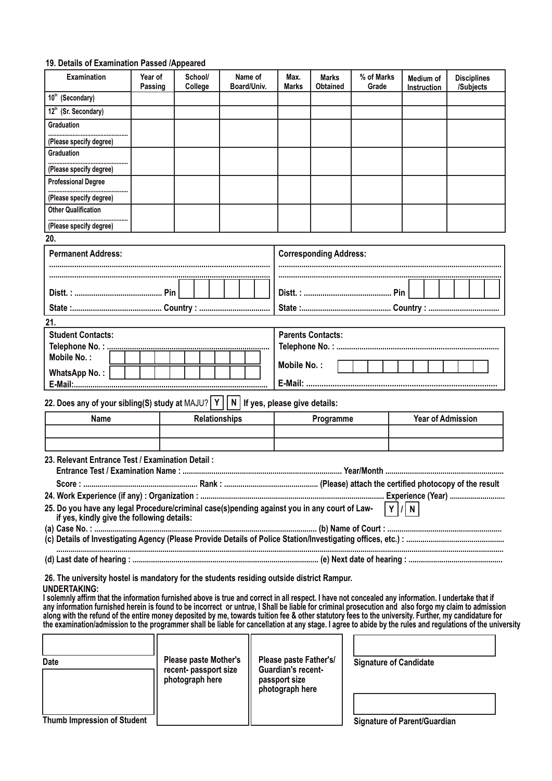#### **19. Details of Examination Passed /Appeared**

| <b>Examination</b>                                                                                                                                                                                                                                                                                           | Year of<br>Passing | School/<br>College   | Name of<br>Board/Univ.           | Max.<br>Marks                    | <b>Marks</b><br><b>Obtained</b> | % of Marks<br>Grade | Medium of<br>Instruction            | <b>Disciplines</b><br>/Subjects |  |  |  |  |  |  |
|--------------------------------------------------------------------------------------------------------------------------------------------------------------------------------------------------------------------------------------------------------------------------------------------------------------|--------------------|----------------------|----------------------------------|----------------------------------|---------------------------------|---------------------|-------------------------------------|---------------------------------|--|--|--|--|--|--|
| 10 <sup>th</sup> (Secondary)                                                                                                                                                                                                                                                                                 |                    |                      |                                  |                                  |                                 |                     |                                     |                                 |  |  |  |  |  |  |
| 12 <sup>th</sup> (Sr. Secondary)                                                                                                                                                                                                                                                                             |                    |                      |                                  |                                  |                                 |                     |                                     |                                 |  |  |  |  |  |  |
| <b>Graduation</b>                                                                                                                                                                                                                                                                                            |                    |                      |                                  |                                  |                                 |                     |                                     |                                 |  |  |  |  |  |  |
| (Please specify degree)                                                                                                                                                                                                                                                                                      |                    |                      |                                  |                                  |                                 |                     |                                     |                                 |  |  |  |  |  |  |
| <b>Graduation</b>                                                                                                                                                                                                                                                                                            |                    |                      |                                  |                                  |                                 |                     |                                     |                                 |  |  |  |  |  |  |
| (Please specify degree)                                                                                                                                                                                                                                                                                      |                    |                      |                                  |                                  |                                 |                     |                                     |                                 |  |  |  |  |  |  |
| <b>Professional Degree</b>                                                                                                                                                                                                                                                                                   |                    |                      |                                  |                                  |                                 |                     |                                     |                                 |  |  |  |  |  |  |
| (Please specify degree)                                                                                                                                                                                                                                                                                      |                    |                      |                                  |                                  |                                 |                     |                                     |                                 |  |  |  |  |  |  |
| <b>Other Qualification</b>                                                                                                                                                                                                                                                                                   |                    |                      |                                  |                                  |                                 |                     |                                     |                                 |  |  |  |  |  |  |
| (Please specify degree)                                                                                                                                                                                                                                                                                      |                    |                      |                                  |                                  |                                 |                     |                                     |                                 |  |  |  |  |  |  |
| 20.                                                                                                                                                                                                                                                                                                          |                    |                      |                                  |                                  |                                 |                     |                                     |                                 |  |  |  |  |  |  |
| <b>Permanent Address:</b>                                                                                                                                                                                                                                                                                    |                    |                      |                                  |                                  | <b>Corresponding Address:</b>   |                     |                                     |                                 |  |  |  |  |  |  |
|                                                                                                                                                                                                                                                                                                              |                    |                      |                                  |                                  |                                 |                     |                                     |                                 |  |  |  |  |  |  |
|                                                                                                                                                                                                                                                                                                              |                    |                      |                                  |                                  |                                 |                     |                                     |                                 |  |  |  |  |  |  |
|                                                                                                                                                                                                                                                                                                              |                    |                      |                                  |                                  |                                 |                     |                                     |                                 |  |  |  |  |  |  |
|                                                                                                                                                                                                                                                                                                              |                    |                      |                                  |                                  |                                 |                     |                                     |                                 |  |  |  |  |  |  |
| 21.                                                                                                                                                                                                                                                                                                          |                    |                      |                                  |                                  |                                 |                     |                                     |                                 |  |  |  |  |  |  |
| <b>Student Contacts:</b><br>Telephone No.:                                                                                                                                                                                                                                                                   |                    |                      |                                  | <b>Parents Contacts:</b>         |                                 |                     |                                     |                                 |  |  |  |  |  |  |
| Mobile No.:                                                                                                                                                                                                                                                                                                  |                    |                      |                                  |                                  |                                 |                     |                                     |                                 |  |  |  |  |  |  |
| <b>WhatsApp No.:</b>                                                                                                                                                                                                                                                                                         |                    |                      |                                  | Mobile No.:                      |                                 |                     |                                     |                                 |  |  |  |  |  |  |
|                                                                                                                                                                                                                                                                                                              |                    |                      |                                  |                                  |                                 |                     |                                     |                                 |  |  |  |  |  |  |
| 22. Does any of your sibling(S) study at MAJU?   Y                                                                                                                                                                                                                                                           |                    |                      | N   If yes, please give details: |                                  |                                 |                     |                                     |                                 |  |  |  |  |  |  |
|                                                                                                                                                                                                                                                                                                              |                    |                      |                                  |                                  |                                 |                     |                                     |                                 |  |  |  |  |  |  |
| Name                                                                                                                                                                                                                                                                                                         |                    | <b>Relationships</b> |                                  |                                  | Programme                       |                     | <b>Year of Admission</b>            |                                 |  |  |  |  |  |  |
|                                                                                                                                                                                                                                                                                                              |                    |                      |                                  |                                  |                                 |                     |                                     |                                 |  |  |  |  |  |  |
| 23. Relevant Entrance Test / Examination Detail:                                                                                                                                                                                                                                                             |                    |                      |                                  |                                  |                                 |                     |                                     |                                 |  |  |  |  |  |  |
|                                                                                                                                                                                                                                                                                                              |                    |                      |                                  |                                  |                                 |                     |                                     |                                 |  |  |  |  |  |  |
|                                                                                                                                                                                                                                                                                                              |                    |                      |                                  |                                  |                                 |                     |                                     |                                 |  |  |  |  |  |  |
|                                                                                                                                                                                                                                                                                                              |                    |                      |                                  |                                  |                                 |                     |                                     |                                 |  |  |  |  |  |  |
| 25. Do you have any legal Procedure/criminal case(s)pending against you in any court of Law-<br>if yes, kindly give the following details:                                                                                                                                                                   |                    |                      |                                  |                                  |                                 |                     | Y   /   N                           |                                 |  |  |  |  |  |  |
|                                                                                                                                                                                                                                                                                                              |                    |                      |                                  |                                  |                                 |                     |                                     |                                 |  |  |  |  |  |  |
|                                                                                                                                                                                                                                                                                                              |                    |                      |                                  |                                  |                                 |                     |                                     |                                 |  |  |  |  |  |  |
|                                                                                                                                                                                                                                                                                                              |                    |                      |                                  |                                  |                                 |                     |                                     |                                 |  |  |  |  |  |  |
|                                                                                                                                                                                                                                                                                                              |                    |                      |                                  |                                  |                                 |                     |                                     |                                 |  |  |  |  |  |  |
| 26. The university hostel is mandatory for the students residing outside district Rampur.<br>UNDERTAKING:                                                                                                                                                                                                    |                    |                      |                                  |                                  |                                 |                     |                                     |                                 |  |  |  |  |  |  |
| I solemnly affirm that the information furnished above is true and correct in all respect. I have not concealed any information. I undertake that if                                                                                                                                                         |                    |                      |                                  |                                  |                                 |                     |                                     |                                 |  |  |  |  |  |  |
| any information furnished herein is found to be incorrect or untrue, I Shall be liable for criminal prosecution and also forgo my claim to admission<br>along with the refund of the entire money deposited by me, towards tuition fee & other statutory fees to the university. Further, my candidature for |                    |                      |                                  |                                  |                                 |                     |                                     |                                 |  |  |  |  |  |  |
| the examination/admission to the programmer shall be liable for cancellation at any stage. I agree to abide by the rules and regulations of the university                                                                                                                                                   |                    |                      |                                  |                                  |                                 |                     |                                     |                                 |  |  |  |  |  |  |
|                                                                                                                                                                                                                                                                                                              |                    |                      |                                  |                                  |                                 |                     |                                     |                                 |  |  |  |  |  |  |
|                                                                                                                                                                                                                                                                                                              |                    |                      |                                  | Please paste Father's/           |                                 |                     |                                     |                                 |  |  |  |  |  |  |
| <b>Please paste Mother's</b><br>Date<br>recent-passport size                                                                                                                                                                                                                                                 |                    |                      |                                  | <b>Guardian's recent-</b>        |                                 |                     | <b>Signature of Candidate</b>       |                                 |  |  |  |  |  |  |
|                                                                                                                                                                                                                                                                                                              |                    | photograph here      |                                  | passport size<br>photograph here |                                 |                     |                                     |                                 |  |  |  |  |  |  |
|                                                                                                                                                                                                                                                                                                              |                    |                      |                                  |                                  |                                 |                     |                                     |                                 |  |  |  |  |  |  |
|                                                                                                                                                                                                                                                                                                              |                    |                      |                                  |                                  |                                 |                     |                                     |                                 |  |  |  |  |  |  |
| <b>Thumb Impression of Student</b>                                                                                                                                                                                                                                                                           |                    |                      |                                  |                                  |                                 |                     | <b>Signature of Parent/Guardian</b> |                                 |  |  |  |  |  |  |